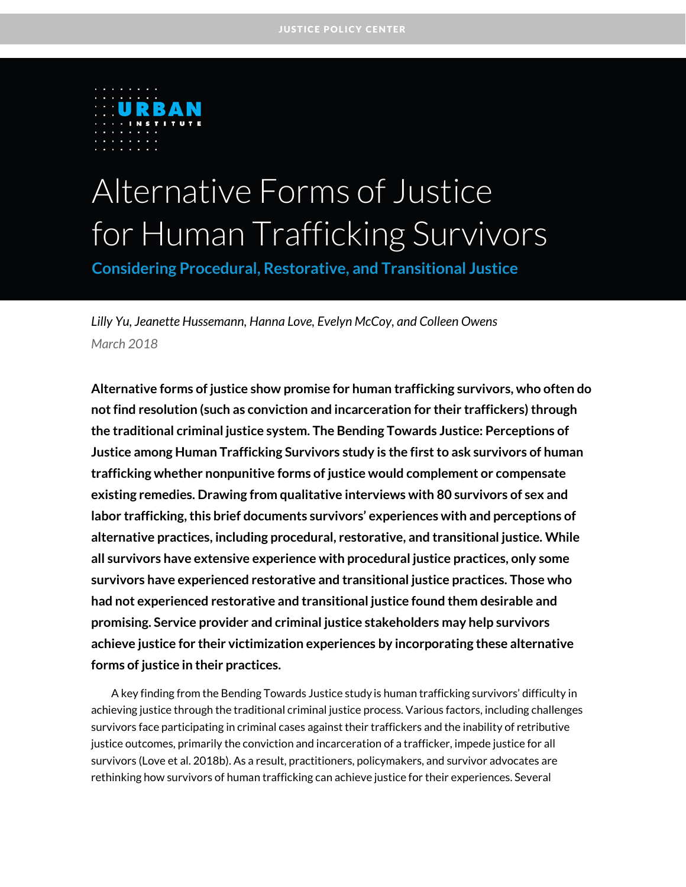

# Alternative Forms of Justice for Human Trafficking Survivors

**Considering Procedural, Restorative, and Transitional Justice**

*Lilly Yu, Jeanette Hussemann, Hanna Love, Evelyn McCoy, and Colleen Owens March 2018*

**Alternative forms of justice show promise for human trafficking survivors, who often do not find resolution (such as conviction and incarceration for their traffickers) through the traditional criminal justice system. The Bending Towards Justice: Perceptions of Justice among Human Trafficking Survivors study is the first to ask survivors of human trafficking whether nonpunitive forms of justice would complement or compensate existing remedies. Drawing from qualitative interviews with 80 survivors of sex and labor trafficking, this brief documents survivors' experiences with and perceptions of alternative practices, including procedural, restorative, and transitional justice. While all survivors have extensive experience with procedural justice practices, only some survivors have experienced restorative and transitional justice practices. Those who had not experienced restorative and transitional justice found them desirable and promising. Service provider and criminal justice stakeholders may help survivors achieve justice for their victimization experiences by incorporating these alternative forms of justice in their practices.** 

A key finding from the Bending Towards Justice study is human trafficking survivors' difficulty in achieving justice through the traditional criminal justice process. Various factors, including challenges survivors face participating in criminal cases against their traffickers and the inability of retributive justice outcomes, primarily the conviction and incarceration of a trafficker, impede justice for all survivors (Love et al. 2018b). As a result, practitioners, policymakers, and survivor advocates are rethinking how survivors of human trafficking can achieve justice for their experiences. Several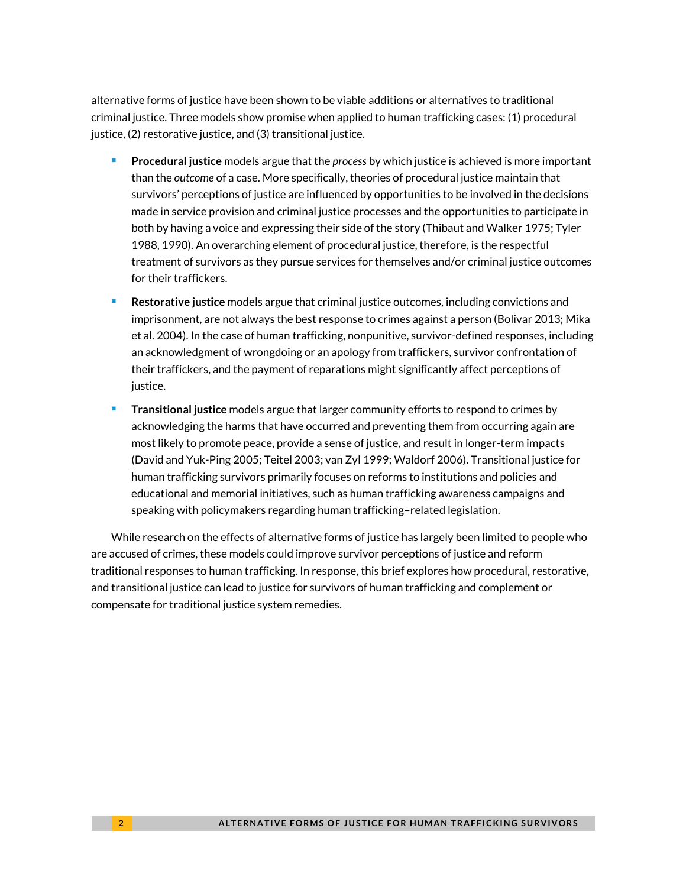alternative forms of justice have been shown to be viable additions or alternatives to traditional criminal justice. Three models show promise when applied to human trafficking cases: (1) procedural justice, (2) restorative justice, and (3) transitional justice.

- **Procedural justice** models argue that the *process* by which justice is achieved is more important than the *outcome* of a case. More specifically, theories of procedural justice maintain that survivors' perceptions of justice are influenced by opportunities to be involved in the decisions made in service provision and criminal justice processes and the opportunities to participate in both by having a voice and expressing their side of the story (Thibaut and Walker 1975; Tyler 1988, 1990). An overarching element of procedural justice, therefore, is the respectful treatment of survivors as they pursue services for themselves and/or criminal justice outcomes for their traffickers.
- **Restorative justice** models argue that criminal justice outcomes, including convictions and imprisonment, are not always the best response to crimes against a person (Bolivar 2013; Mika et al. 2004). In the case of human trafficking, nonpunitive, survivor-defined responses, including an acknowledgment of wrongdoing or an apology from traffickers, survivor confrontation of their traffickers, and the payment of reparations might significantly affect perceptions of justice.
- **Transitional justice** models argue that larger community efforts to respond to crimes by acknowledging the harms that have occurred and preventing them from occurring again are most likely to promote peace, provide a sense of justice, and result in longer-term impacts (David and Yuk-Ping 2005; Teitel 2003; van Zyl 1999; Waldorf 2006). Transitional justice for human trafficking survivors primarily focuses on reforms to institutions and policies and educational and memorial initiatives, such as human trafficking awareness campaigns and speaking with policymakers regarding human trafficking–related legislation.

While research on the effects of alternative forms of justice has largely been limited to people who are accused of crimes, these models could improve survivor perceptions of justice and reform traditional responses to human trafficking. In response, this brief explores how procedural, restorative, and transitional justice can lead to justice for survivors of human trafficking and complement or compensate for traditional justice system remedies.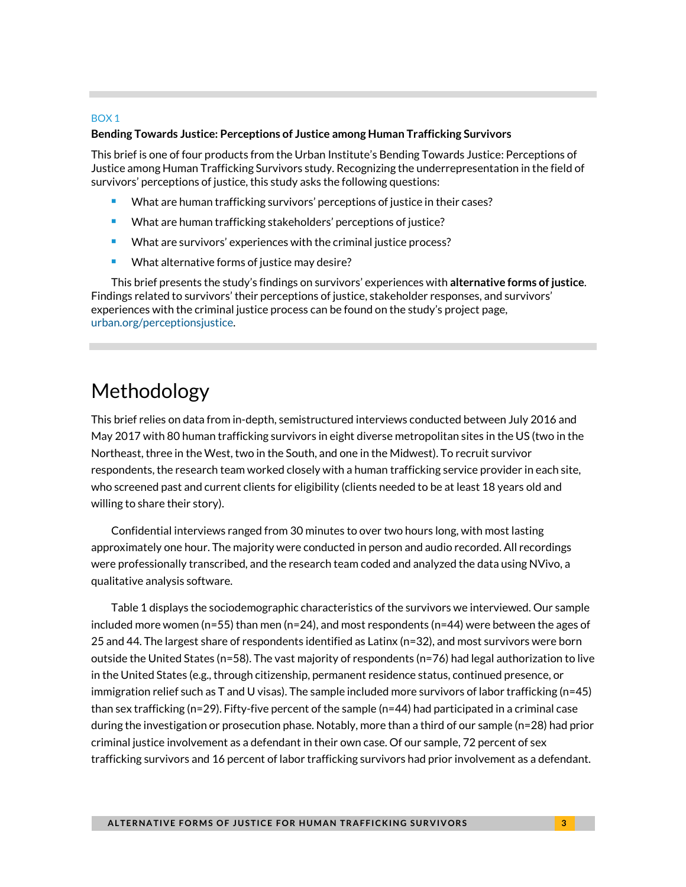#### BOX 1

#### **Bending Towards Justice: Perceptions of Justice among Human Trafficking Survivors**

This brief is one of four products from the Urban Institute's Bending Towards Justice: Perceptions of Justice among Human Trafficking Survivors study. Recognizing the underrepresentation in the field of survivors' perceptions of justice, this study asks the following questions:

- What are human trafficking survivors' perceptions of justice in their cases?
- **What are human trafficking stakeholders' perceptions of justice?**
- What are survivors' experiences with the criminal justice process?
- What alternative forms of justice may desire?

This brief presents the study's findings on survivors' experiences with **alternative forms of justice**. Findings related to survivors' their perceptions of justice, stakeholder responses, and survivors' experiences with the criminal justice process can be found on the study's project page, [urban.org/perceptionsjustice.](http://www.urban.org/perceptionsjustice)

### Methodology

This brief relies on data from in-depth, semistructured interviews conducted between July 2016 and May 2017 with 80 human trafficking survivors in eight diverse metropolitan sites in the US (two in the Northeast, three in the West, two in the South, and one in the Midwest). To recruit survivor respondents, the research team worked closely with a human trafficking service provider in each site, who screened past and current clients for eligibility (clients needed to be at least 18 years old and willing to share their story).

Confidential interviews ranged from 30 minutes to over two hours long, with most lasting approximately one hour. The majority were conducted in person and audio recorded. All recordings were professionally transcribed, and the research team coded and analyzed the data using NVivo, a qualitative analysis software.

Table 1 displays the sociodemographic characteristics of the survivors we interviewed. Our sample included more women ( $n=55$ ) than men ( $n=24$ ), and most respondents ( $n=44$ ) were between the ages of 25 and 44. The largest share of respondents identified as Latinx (n=32), and most survivors were born outside the United States (n=58). The vast majority of respondents (n=76) had legal authorization to live in the United States (e.g., through citizenship, permanent residence status, continued presence, or immigration relief such as T and U visas). The sample included more survivors of labor trafficking (n=45) than sex trafficking (n=29). Fifty-five percent of the sample (n=44) had participated in a criminal case during the investigation or prosecution phase. Notably, more than a third of our sample (n=28) had prior criminal justice involvement as a defendant in their own case. Of our sample, 72 percent of sex trafficking survivors and 16 percent of labor trafficking survivors had prior involvement as a defendant.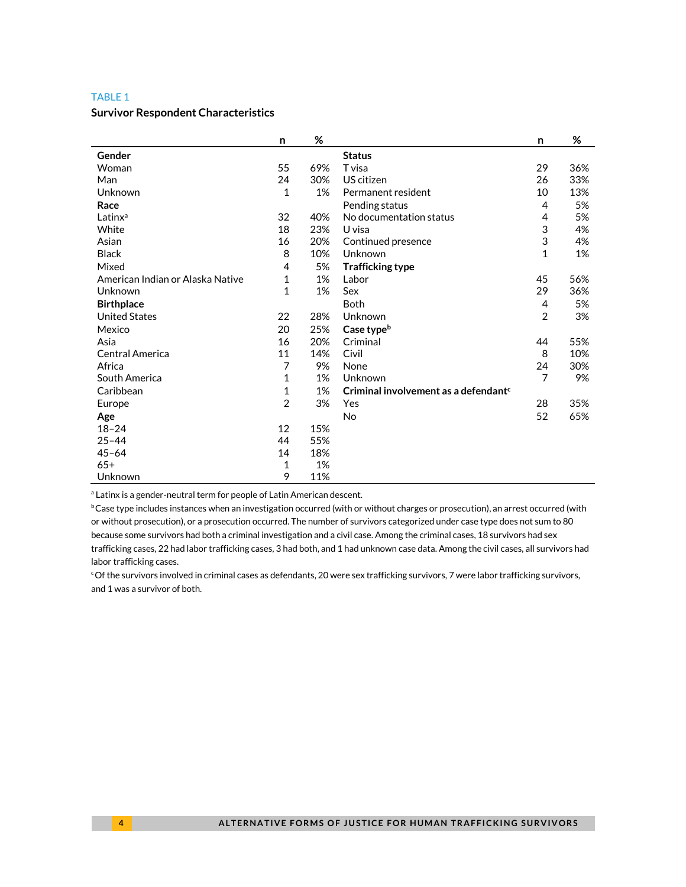#### TABLE 1

#### **Survivor Respondent Characteristics**

|                                  | n              | %   |                                                  | n              | %   |
|----------------------------------|----------------|-----|--------------------------------------------------|----------------|-----|
| Gender                           |                |     | <b>Status</b>                                    |                |     |
| Woman                            | 55             | 69% | T visa                                           | 29             | 36% |
| Man                              | 24             | 30% | US citizen                                       | 26             | 33% |
| Unknown                          | $\mathbf{1}$   | 1%  | Permanent resident                               | 10             | 13% |
| Race                             |                |     | Pending status                                   | 4              | 5%  |
| Latinx <sup>a</sup>              | 32             | 40% | No documentation status                          | 4              | 5%  |
| White                            | 18             | 23% | U visa                                           | 3              | 4%  |
| Asian                            | 16             | 20% | Continued presence                               | 3              | 4%  |
| <b>Black</b>                     | 8              | 10% | Unknown                                          | $\mathbf{1}$   | 1%  |
| Mixed                            | 4              | 5%  | <b>Trafficking type</b>                          |                |     |
| American Indian or Alaska Native | 1              | 1%  | Labor                                            | 45             | 56% |
| Unknown                          | $\mathbf{1}$   | 1%  | Sex                                              | 29             | 36% |
| <b>Birthplace</b>                |                |     | <b>Both</b>                                      | 4              | 5%  |
| <b>United States</b>             | 22             | 28% | Unknown                                          | 2              | 3%  |
| Mexico                           | 20             | 25% | Case type <sup>b</sup>                           |                |     |
| Asia                             | 16             | 20% | Criminal                                         | 44             | 55% |
| Central America                  | 11             | 14% | Civil                                            | 8              | 10% |
| Africa                           | 7              | 9%  | None                                             | 24             | 30% |
| South America                    | 1              | 1%  | Unknown                                          | $\overline{7}$ | 9%  |
| Caribbean                        | 1              | 1%  | Criminal involvement as a defendant <sup>c</sup> |                |     |
| Europe                           | $\overline{2}$ | 3%  | Yes                                              | 28             | 35% |
| Age                              |                |     | No                                               | 52             | 65% |
| $18 - 24$                        | 12             | 15% |                                                  |                |     |
| $25 - 44$                        | 44             | 55% |                                                  |                |     |
| $45 - 64$                        | 14             | 18% |                                                  |                |     |
| $65+$                            | 1              | 1%  |                                                  |                |     |
| Unknown                          | 9              | 11% |                                                  |                |     |

<sup>a</sup> Latinx is a gender-neutral term for people of Latin American descent.

bCase type includes instances when an investigation occurred (with or without charges or prosecution), an arrest occurred (with or without prosecution), or a prosecution occurred. The number of survivors categorized under case type does not sum to 80 because some survivors had both a criminal investigation and a civil case. Among the criminal cases, 18 survivors had sex trafficking cases, 22 had labor trafficking cases, 3 had both, and 1 had unknown case data. Among the civil cases, all survivors had labor trafficking cases.

cOf the survivors involved in criminal cases as defendants, 20 were sex trafficking survivors, 7 were labor trafficking survivors, and 1 was a survivor of both.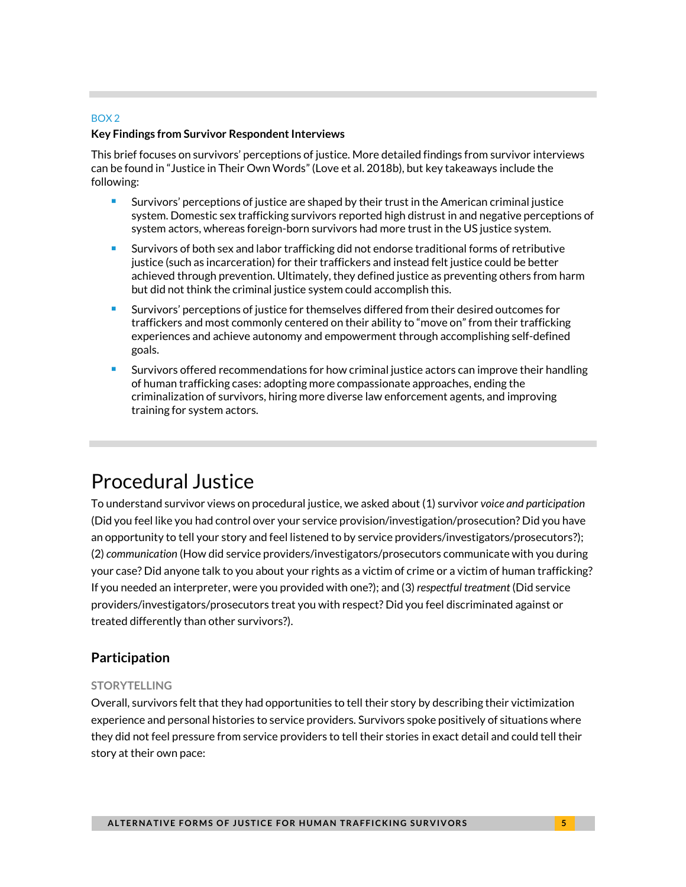### BOX 2

### **Key Findings from Survivor Respondent Interviews**

This brief focuses on survivors' perceptions of justice. More detailed findings from survivor interviews can be found in "Justice in Their Own Words" (Love et al. 2018b), but key takeaways include the following:

- **Survivors' perceptions of justice are shaped by their trust in the American criminal justice** system. Domestic sex trafficking survivors reported high distrust in and negative perceptions of system actors, whereas foreign-born survivors had more trust in the US justice system.
- Survivors of both sex and labor trafficking did not endorse traditional forms of retributive justice (such as incarceration) for their traffickers and instead felt justice could be better achieved through prevention. Ultimately, they defined justice as preventing others from harm but did not think the criminal justice system could accomplish this.
- Survivors' perceptions of justice for themselves differed from their desired outcomes for traffickers and most commonly centered on their ability to "move on" from their trafficking experiences and achieve autonomy and empowerment through accomplishing self-defined goals.
- Survivors offered recommendations for how criminal justice actors can improve their handling of human trafficking cases: adopting more compassionate approaches, ending the criminalization of survivors, hiring more diverse law enforcement agents, and improving training for system actors.

# Procedural Justice

To understand survivor views on procedural justice, we asked about (1) survivor *voice and participation* (Did you feel like you had control over your service provision/investigation/prosecution? Did you have an opportunity to tell your story and feel listened to by service providers/investigators/prosecutors?); (2) *communication* (How did service providers/investigators/prosecutors communicate with you during your case? Did anyone talk to you about your rights as a victim of crime or a victim of human trafficking? If you needed an interpreter, were you provided with one?); and (3) *respectful treatment* (Did service providers/investigators/prosecutors treat you with respect? Did you feel discriminated against or treated differently than other survivors?).

### **Participation**

### **STORYTELLING**

Overall, survivors felt that they had opportunities to tell their story by describing their victimization experience and personal histories to service providers. Survivors spoke positively of situations where they did not feel pressure from service providers to tell their stories in exact detail and could tell their story at their own pace: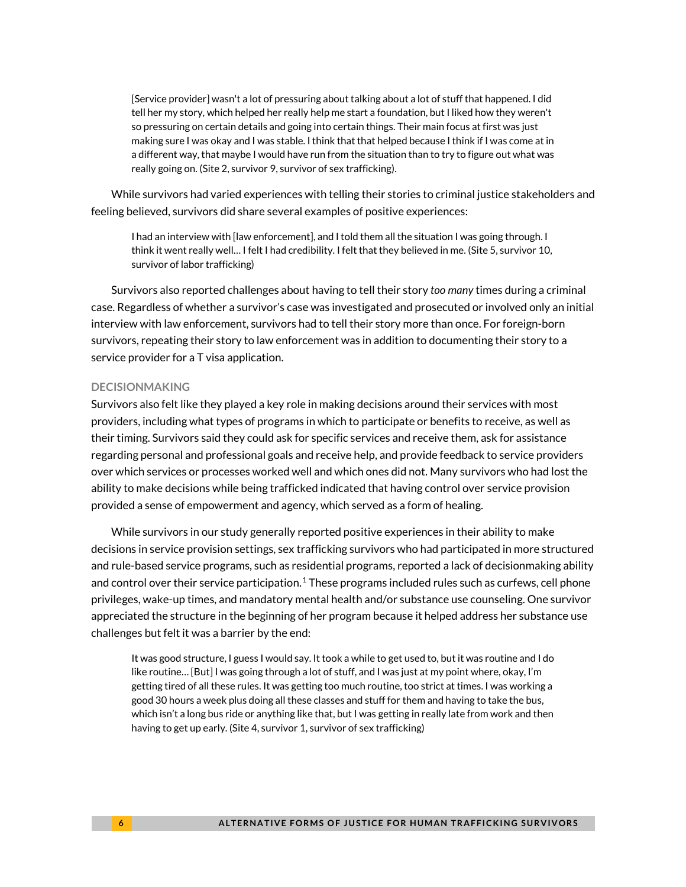[Service provider] wasn't a lot of pressuring about talking about a lot of stuff that happened. I did tell her my story, which helped her really help me start a foundation, but I liked how they weren't so pressuring on certain details and going into certain things. Their main focus at first was just making sure I was okay and I was stable. I think that that helped because I think if I was come at in a different way, that maybe I would have run from the situation than to try to figure out what was really going on. (Site 2, survivor 9, survivor of sex trafficking).

While survivors had varied experiences with telling their stories to criminal justice stakeholders and feeling believed, survivors did share several examples of positive experiences:

I had an interview with [law enforcement], and I told them all the situation I was going through. I think it went really well… I felt I had credibility. I felt that they believed in me. (Site 5, survivor 10, survivor of labor trafficking)

Survivors also reported challenges about having to tell their story *too many* times during a criminal case. Regardless of whether a survivor's case was investigated and prosecuted or involved only an initial interview with law enforcement, survivors had to tell their story more than once. For foreign-born survivors, repeating their story to law enforcement was in addition to documenting their story to a service provider for a T visa application.

### **DECISIONMAKING**

Survivors also felt like they played a key role in making decisions around their services with most providers, including what types of programs in which to participate or benefits to receive, as well as their timing. Survivors said they could ask for specific services and receive them, ask for assistance regarding personal and professional goals and receive help, and provide feedback to service providers over which services or processes worked well and which ones did not. Many survivors who had lost the ability to make decisions while being trafficked indicated that having control over service provision provided a sense of empowerment and agency, which served as a form of healing.

While survivors in our study generally reported positive experiences in their ability to make decisions in service provision settings, sex trafficking survivors who had participated in more structured and rule-based service programs, such as residential programs, reported a lack of decisionmaking ability and control over their service participation.<sup>[1](#page-13-0)</sup> These programs included rules such as curfews, cell phone privileges, wake-up times, and mandatory mental health and/or substance use counseling. One survivor appreciated the structure in the beginning of her program because it helped address her substance use challenges but felt it was a barrier by the end:

It was good structure, I guess I would say. It took a while to get used to, but it was routine and I do like routine… [But] I was going through a lot of stuff, and I was just at my point where, okay, I'm getting tired of all these rules. It was getting too much routine, too strict at times. I was working a good 30 hours a week plus doing all these classes and stuff for them and having to take the bus, which isn't a long bus ride or anything like that, but I was getting in really late from work and then having to get up early. (Site 4, survivor 1, survivor of sex trafficking)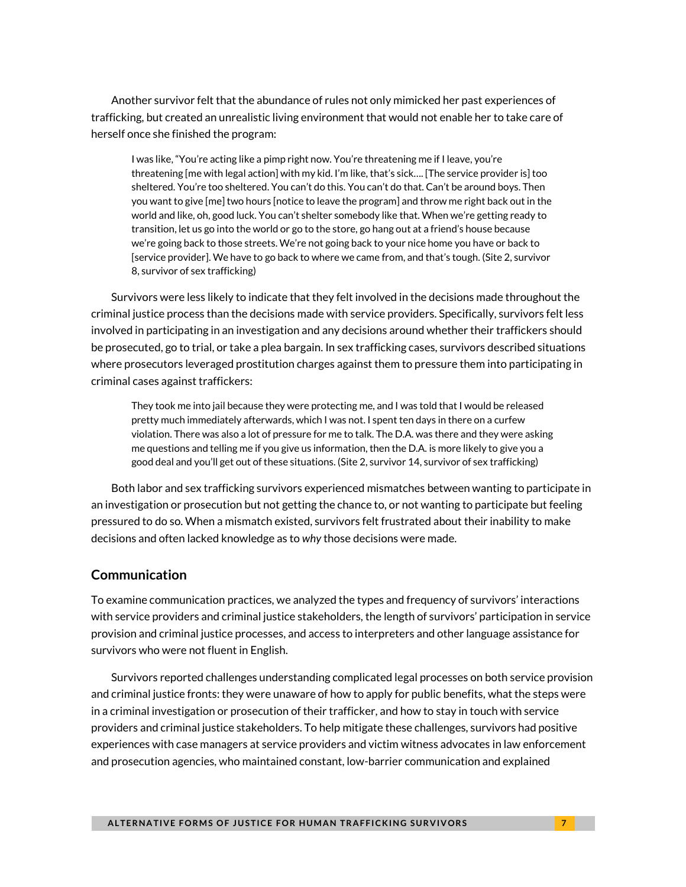Another survivor felt that the abundance of rules not only mimicked her past experiences of trafficking, but created an unrealistic living environment that would not enable her to take care of herself once she finished the program:

I was like, "You're acting like a pimp right now. You're threatening me if I leave, you're threatening [me with legal action] with my kid. I'm like, that's sick…. [The service provider is] too sheltered. You're too sheltered. You can't do this. You can't do that. Can't be around boys. Then you want to give [me] two hours [notice to leave the program] and throw me right back out in the world and like, oh, good luck. You can't shelter somebody like that. When we're getting ready to transition, let us go into the world or go to the store, go hang out at a friend's house because we're going back to those streets. We're not going back to your nice home you have or back to [service provider]. We have to go back to where we came from, and that's tough. (Site 2, survivor 8, survivor of sex trafficking)

Survivors were less likely to indicate that they felt involved in the decisions made throughout the criminal justice process than the decisions made with service providers. Specifically, survivors felt less involved in participating in an investigation and any decisions around whether their traffickers should be prosecuted, go to trial, or take a plea bargain. In sex trafficking cases, survivors described situations where prosecutors leveraged prostitution charges against them to pressure them into participating in criminal cases against traffickers:

They took me into jail because they were protecting me, and I was told that I would be released pretty much immediately afterwards, which I was not. I spent ten days in there on a curfew violation. There was also a lot of pressure for me to talk. The D.A. was there and they were asking me questions and telling me if you give us information, then the D.A. is more likely to give you a good deal and you'll get out of these situations. (Site 2, survivor 14, survivor of sex trafficking)

Both labor and sex trafficking survivors experienced mismatches between wanting to participate in an investigation or prosecution but not getting the chance to, or not wanting to participate but feeling pressured to do so. When a mismatch existed, survivors felt frustrated about their inability to make decisions and often lacked knowledge as to *why* those decisions were made.

### **Communication**

To examine communication practices, we analyzed the types and frequency of survivors' interactions with service providers and criminal justice stakeholders, the length of survivors' participation in service provision and criminal justice processes, and access to interpreters and other language assistance for survivors who were not fluent in English.

Survivors reported challenges understanding complicated legal processes on both service provision and criminal justice fronts: they were unaware of how to apply for public benefits, what the steps were in a criminal investigation or prosecution of their trafficker, and how to stay in touch with service providers and criminal justice stakeholders. To help mitigate these challenges, survivors had positive experiences with case managers at service providers and victim witness advocates in law enforcement and prosecution agencies, who maintained constant, low-barrier communication and explained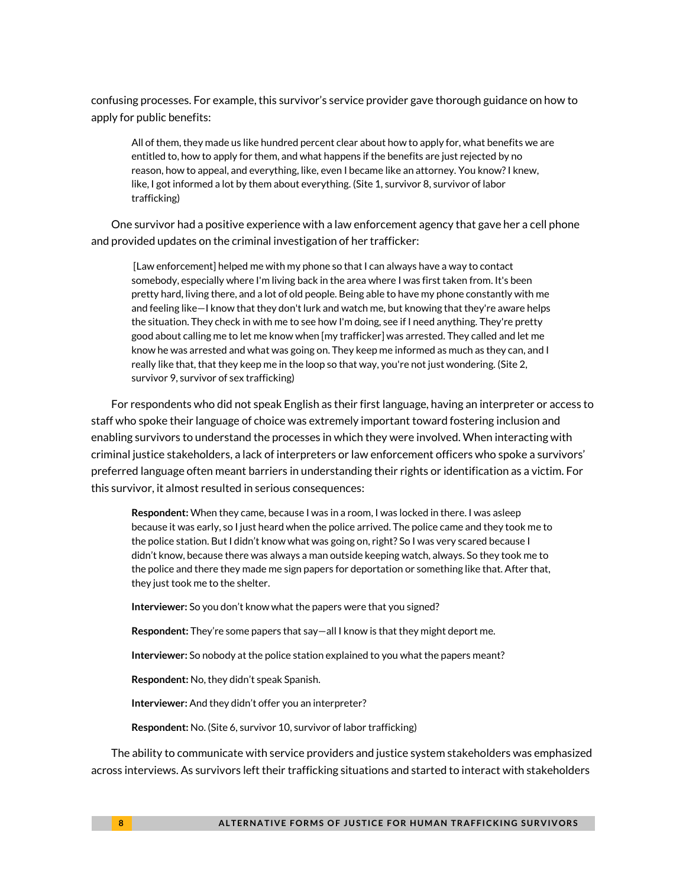confusing processes. For example, this survivor's service provider gave thorough guidance on how to apply for public benefits:

All of them, they made us like hundred percent clear about how to apply for, what benefits we are entitled to, how to apply for them, and what happens if the benefits are just rejected by no reason, how to appeal, and everything, like, even I became like an attorney. You know? I knew, like, I got informed a lot by them about everything. (Site 1, survivor 8, survivor of labor trafficking)

One survivor had a positive experience with a law enforcement agency that gave her a cell phone and provided updates on the criminal investigation of her trafficker:

[Law enforcement] helped me with my phone so that I can always have a way to contact somebody, especially where I'm living back in the area where I was first taken from. It's been pretty hard, living there, and a lot of old people. Being able to have my phone constantly with me and feeling like—I know that they don't lurk and watch me, but knowing that they're aware helps the situation. They check in with me to see how I'm doing, see if I need anything. They're pretty good about calling me to let me know when [my trafficker] was arrested. They called and let me know he was arrested and what was going on. They keep me informed as much as they can, and I really like that, that they keep me in the loop so that way, you're not just wondering. (Site 2, survivor 9, survivor of sex trafficking)

For respondents who did not speak English as their first language, having an interpreter or access to staff who spoke their language of choice was extremely important toward fostering inclusion and enabling survivors to understand the processes in which they were involved. When interacting with criminal justice stakeholders, a lack of interpreters or law enforcement officers who spoke a survivors' preferred language often meant barriers in understanding their rights or identification as a victim. For this survivor, it almost resulted in serious consequences:

**Respondent:** When they came, because I was in a room, I was locked in there. I was asleep because it was early, so I just heard when the police arrived. The police came and they took me to the police station. But I didn't know what was going on, right? So I was very scared because I didn't know, because there was always a man outside keeping watch, always. So they took me to the police and there they made me sign papers for deportation or something like that. After that, they just took me to the shelter.

**Interviewer:** So you don't know what the papers were that you signed?

**Respondent:** They're some papers that say—all I know is that they might deport me.

**Interviewer:** So nobody at the police station explained to you what the papers meant?

**Respondent:** No, they didn't speak Spanish.

**Interviewer:** And they didn't offer you an interpreter?

**Respondent:** No. (Site 6, survivor 10, survivor of labor trafficking)

The ability to communicate with service providers and justice system stakeholders was emphasized across interviews. As survivors left their trafficking situations and started to interact with stakeholders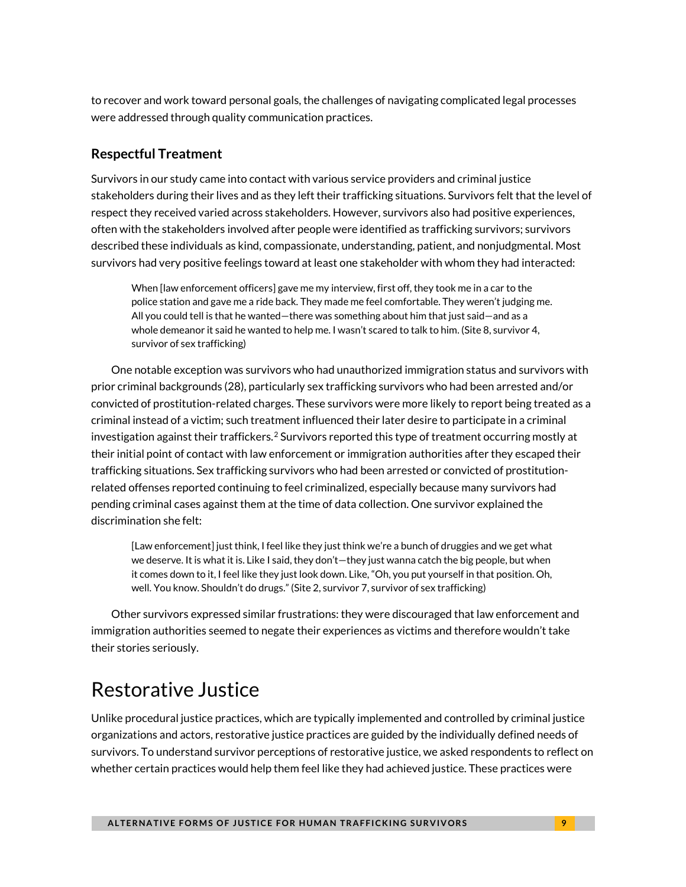to recover and work toward personal goals, the challenges of navigating complicated legal processes were addressed through quality communication practices.

### **Respectful Treatment**

Survivors in our study came into contact with various service providers and criminal justice stakeholders during their lives and as they left their trafficking situations. Survivors felt that the level of respect they received varied across stakeholders. However, survivors also had positive experiences, often with the stakeholders involved after people were identified as trafficking survivors; survivors described these individuals as kind, compassionate, understanding, patient, and nonjudgmental. Most survivors had very positive feelings toward at least one stakeholder with whom they had interacted:

When [law enforcement officers] gave me my interview, first off, they took me in a car to the police station and gave me a ride back. They made me feel comfortable. They weren't judging me. All you could tell is that he wanted—there was something about him that just said—and as a whole demeanor it said he wanted to help me. I wasn't scared to talk to him. (Site 8, survivor 4, survivor of sex trafficking)

One notable exception was survivors who had unauthorized immigration status and survivors with prior criminal backgrounds (28), particularly sex trafficking survivors who had been arrested and/or convicted of prostitution-related charges. These survivors were more likely to report being treated as a criminal instead of a victim; such treatment influenced their later desire to participate in a criminal investigation against their traffickers.<sup>[2](#page-13-1)</sup> Survivors reported this type of treatment occurring mostly at their initial point of contact with law enforcement or immigration authorities after they escaped their trafficking situations. Sex trafficking survivors who had been arrested or convicted of prostitutionrelated offenses reported continuing to feel criminalized, especially because many survivors had pending criminal cases against them at the time of data collection. One survivor explained the discrimination she felt:

[Law enforcement] just think, I feel like they just think we're a bunch of druggies and we get what we deserve. It is what it is. Like I said, they don't—they just wanna catch the big people, but when it comes down to it, I feel like they just look down. Like, "Oh, you put yourself in that position. Oh, well. You know. Shouldn't do drugs." (Site 2, survivor 7, survivor of sex trafficking)

Other survivors expressed similar frustrations: they were discouraged that law enforcement and immigration authorities seemed to negate their experiences as victims and therefore wouldn't take their stories seriously.

# Restorative Justice

Unlike procedural justice practices, which are typically implemented and controlled by criminal justice organizations and actors, restorative justice practices are guided by the individually defined needs of survivors. To understand survivor perceptions of restorative justice, we asked respondents to reflect on whether certain practices would help them feel like they had achieved justice. These practices were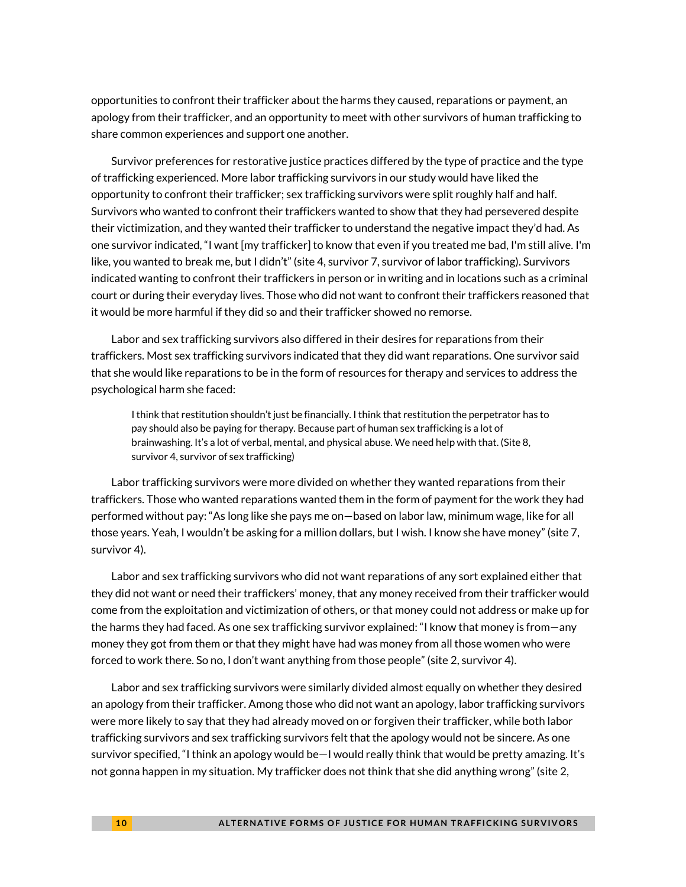opportunities to confront their trafficker about the harms they caused, reparations or payment, an apology from their trafficker, and an opportunity to meet with other survivors of human trafficking to share common experiences and support one another.

Survivor preferences for restorative justice practices differed by the type of practice and the type of trafficking experienced. More labor trafficking survivors in our study would have liked the opportunity to confront their trafficker; sex trafficking survivors were split roughly half and half. Survivors who wanted to confront their traffickers wanted to show that they had persevered despite their victimization, and they wanted their trafficker to understand the negative impact they'd had. As one survivor indicated, "I want [my trafficker] to know that even if you treated me bad, I'm still alive. I'm like, you wanted to break me, but I didn't" (site 4, survivor 7, survivor of labor trafficking). Survivors indicated wanting to confront their traffickers in person or in writing and in locations such as a criminal court or during their everyday lives. Those who did not want to confront their traffickers reasoned that it would be more harmful if they did so and their trafficker showed no remorse.

Labor and sex trafficking survivors also differed in their desires for reparations from their traffickers. Most sex trafficking survivors indicated that they did want reparations. One survivor said that she would like reparations to be in the form of resources for therapy and services to address the psychological harm she faced:

I think that restitution shouldn't just be financially. I think that restitution the perpetrator has to pay should also be paying for therapy. Because part of human sex trafficking is a lot of brainwashing. It's a lot of verbal, mental, and physical abuse. We need help with that. (Site 8, survivor 4, survivor of sex trafficking)

Labor trafficking survivors were more divided on whether they wanted reparations from their traffickers. Those who wanted reparations wanted them in the form of payment for the work they had performed without pay: "As long like she pays me on—based on labor law, minimum wage, like for all those years. Yeah, I wouldn't be asking for a million dollars, but I wish. I know she have money" (site 7, survivor 4).

Labor and sex trafficking survivors who did not want reparations of any sort explained either that they did not want or need their traffickers' money, that any money received from their trafficker would come from the exploitation and victimization of others, or that money could not address or make up for the harms they had faced. As one sex trafficking survivor explained: "I know that money is from—any money they got from them or that they might have had was money from all those women who were forced to work there. So no, I don't want anything from those people" (site 2, survivor 4).

Labor and sex trafficking survivors were similarly divided almost equally on whether they desired an apology from their trafficker. Among those who did not want an apology, labor trafficking survivors were more likely to say that they had already moved on or forgiven their trafficker, while both labor trafficking survivors and sex trafficking survivors felt that the apology would not be sincere. As one survivor specified, "I think an apology would be—I would really think that would be pretty amazing. It's not gonna happen in my situation. My trafficker does not think that she did anything wrong" (site 2,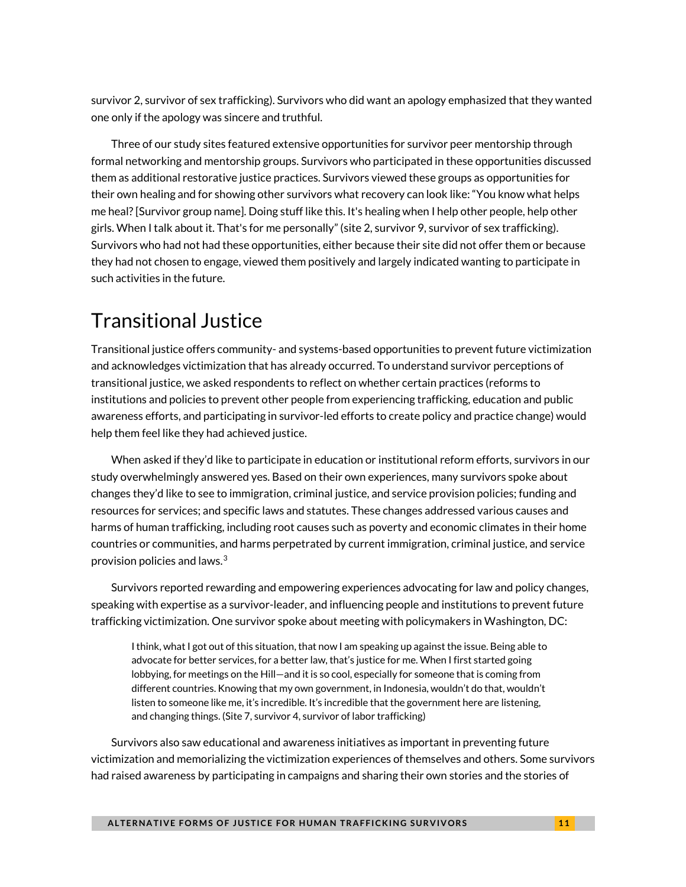survivor 2, survivor of sex trafficking). Survivors who did want an apology emphasized that they wanted one only if the apology was sincere and truthful.

Three of our study sites featured extensive opportunities for survivor peer mentorship through formal networking and mentorship groups. Survivors who participated in these opportunities discussed them as additional restorative justice practices. Survivors viewed these groups as opportunities for their own healing and for showing other survivors what recovery can look like: "You know what helps me heal? [Survivor group name]. Doing stuff like this. It's healing when I help other people, help other girls. When I talk about it. That's for me personally" (site 2, survivor 9, survivor of sex trafficking). Survivors who had not had these opportunities, either because their site did not offer them or because they had not chosen to engage, viewed them positively and largely indicated wanting to participate in such activities in the future.

# Transitional Justice

Transitional justice offers community- and systems-based opportunities to prevent future victimization and acknowledges victimization that has already occurred. To understand survivor perceptions of transitional justice, we asked respondents to reflect on whether certain practices (reforms to institutions and policies to prevent other people from experiencing trafficking, education and public awareness efforts, and participating in survivor-led efforts to create policy and practice change) would help them feel like they had achieved justice.

When asked if they'd like to participate in education or institutional reform efforts, survivors in our study overwhelmingly answered yes. Based on their own experiences, many survivors spoke about changes they'd like to see to immigration, criminal justice, and service provision policies; funding and resources for services; and specific laws and statutes. These changes addressed various causes and harms of human trafficking, including root causes such as poverty and economic climates in their home countries or communities, and harms perpetrated by current immigration, criminal justice, and service provision policies and laws. $3$ 

Survivors reported rewarding and empowering experiences advocating for law and policy changes, speaking with expertise as a survivor-leader, and influencing people and institutions to prevent future trafficking victimization. One survivor spoke about meeting with policymakers in Washington, DC:

I think, what I got out of this situation, that now I am speaking up against the issue. Being able to advocate for better services, for a better law, that's justice for me. When I first started going lobbying, for meetings on the Hill—and it is so cool, especially for someone that is coming from different countries. Knowing that my own government, in Indonesia, wouldn't do that, wouldn't listen to someone like me, it's incredible. It's incredible that the government here are listening, and changing things. (Site 7, survivor 4, survivor of labor trafficking)

Survivors also saw educational and awareness initiatives as important in preventing future victimization and memorializing the victimization experiences of themselves and others. Some survivors had raised awareness by participating in campaigns and sharing their own stories and the stories of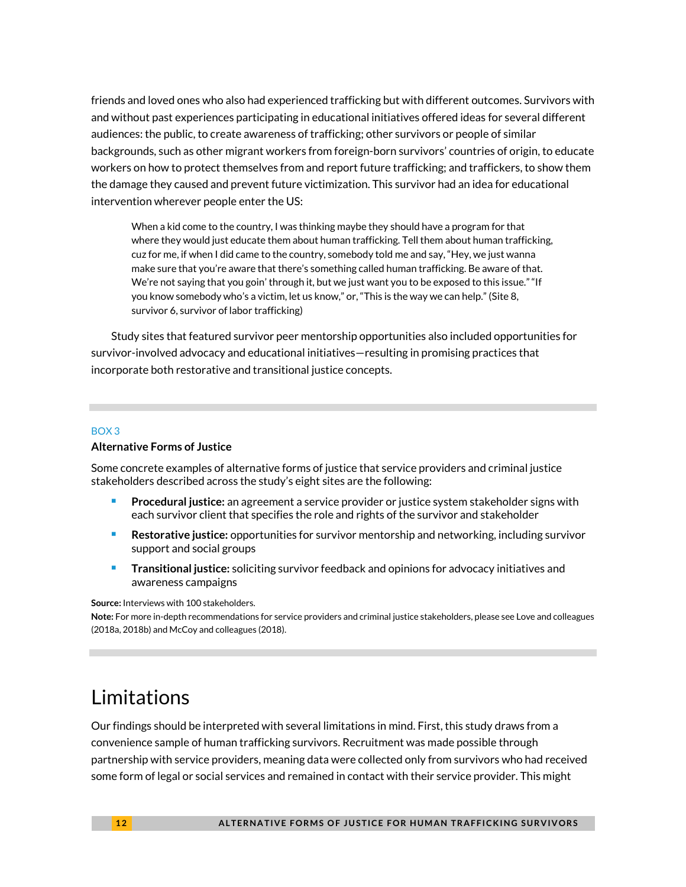friends and loved ones who also had experienced trafficking but with different outcomes. Survivors with and without past experiences participating in educational initiatives offered ideas for several different audiences: the public, to create awareness of trafficking; other survivors or people of similar backgrounds, such as other migrant workers from foreign-born survivors' countries of origin, to educate workers on how to protect themselves from and report future trafficking; and traffickers, to show them the damage they caused and prevent future victimization. This survivor had an idea for educational intervention wherever people enter the US:

When a kid come to the country, I was thinking maybe they should have a program for that where they would just educate them about human trafficking. Tell them about human trafficking, cuz for me, if when I did came to the country, somebody told me and say, "Hey, we just wanna make sure that you're aware that there's something called human trafficking. Be aware of that. We're not saying that you goin' through it, but we just want you to be exposed to this issue." "If you know somebody who's a victim, let us know," or, "This is the way we can help." (Site 8, survivor 6, survivor of labor trafficking)

Study sites that featured survivor peer mentorship opportunities also included opportunities for survivor-involved advocacy and educational initiatives—resulting in promising practices that incorporate both restorative and transitional justice concepts.

#### BOX 3

### **Alternative Forms of Justice**

Some concrete examples of alternative forms of justice that service providers and criminal justice stakeholders described across the study's eight sites are the following:

- **Procedural justice:** an agreement a service provider or justice system stakeholder signs with each survivor client that specifies the role and rights of the survivor and stakeholder
- **Restorative justice:** opportunities for survivor mentorship and networking, including survivor support and social groups
- **Transitional justice:** soliciting survivor feedback and opinions for advocacy initiatives and awareness campaigns

**Source:** Interviews with 100 stakeholders.

**Note:** For more in-depth recommendations for service providers and criminal justice stakeholders, please see Love and colleagues (2018a, 2018b) and McCoy and colleagues (2018).

# Limitations

Our findings should be interpreted with several limitations in mind. First, this study draws from a convenience sample of human trafficking survivors. Recruitment was made possible through partnership with service providers, meaning data were collected only from survivors who had received some form of legal or social services and remained in contact with their service provider. This might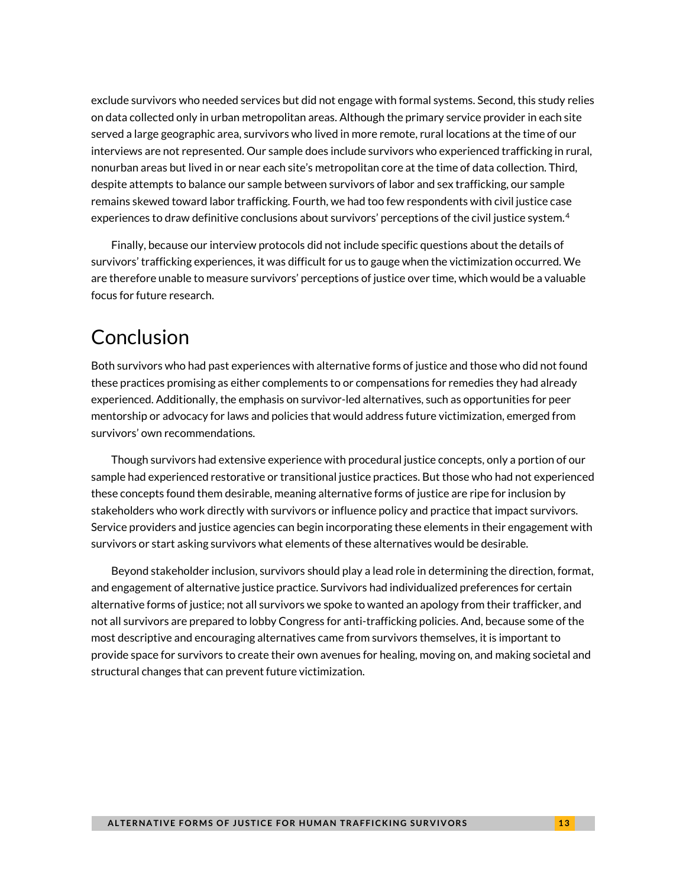exclude survivors who needed services but did not engage with formal systems. Second, this study relies on data collected only in urban metropolitan areas. Although the primary service provider in each site served a large geographic area, survivors who lived in more remote, rural locations at the time of our interviews are not represented. Our sample does include survivors who experienced trafficking in rural, nonurban areas but lived in or near each site's metropolitan core at the time of data collection. Third, despite attempts to balance our sample between survivors of labor and sex trafficking, our sample remains skewed toward labor trafficking. Fourth, we had too few respondents with civil justice case experiences to draw definitive conclusions about survivors' perceptions of the civil justice system. $^4$  $^4$ 

Finally, because our interview protocols did not include specific questions about the details of survivors' trafficking experiences, it was difficult for us to gauge when the victimization occurred. We are therefore unable to measure survivors' perceptions of justice over time, which would be a valuable focus for future research.

# Conclusion

Both survivors who had past experiences with alternative forms of justice and those who did not found these practices promising as either complements to or compensations for remedies they had already experienced. Additionally, the emphasis on survivor-led alternatives, such as opportunities for peer mentorship or advocacy for laws and policies that would address future victimization, emerged from survivors' own recommendations.

Though survivors had extensive experience with procedural justice concepts, only a portion of our sample had experienced restorative or transitional justice practices. But those who had not experienced these concepts found them desirable, meaning alternative forms of justice are ripe for inclusion by stakeholders who work directly with survivors or influence policy and practice that impact survivors. Service providers and justice agencies can begin incorporating these elements in their engagement with survivors or start asking survivors what elements of these alternatives would be desirable.

Beyond stakeholder inclusion, survivors should play a lead role in determining the direction, format, and engagement of alternative justice practice. Survivors had individualized preferences for certain alternative forms of justice; not all survivors we spoke to wanted an apology from their trafficker, and not all survivors are prepared to lobby Congress for anti-trafficking policies. And, because some of the most descriptive and encouraging alternatives came from survivors themselves, it is important to provide space for survivors to create their own avenues for healing, moving on, and making societal and structural changes that can prevent future victimization.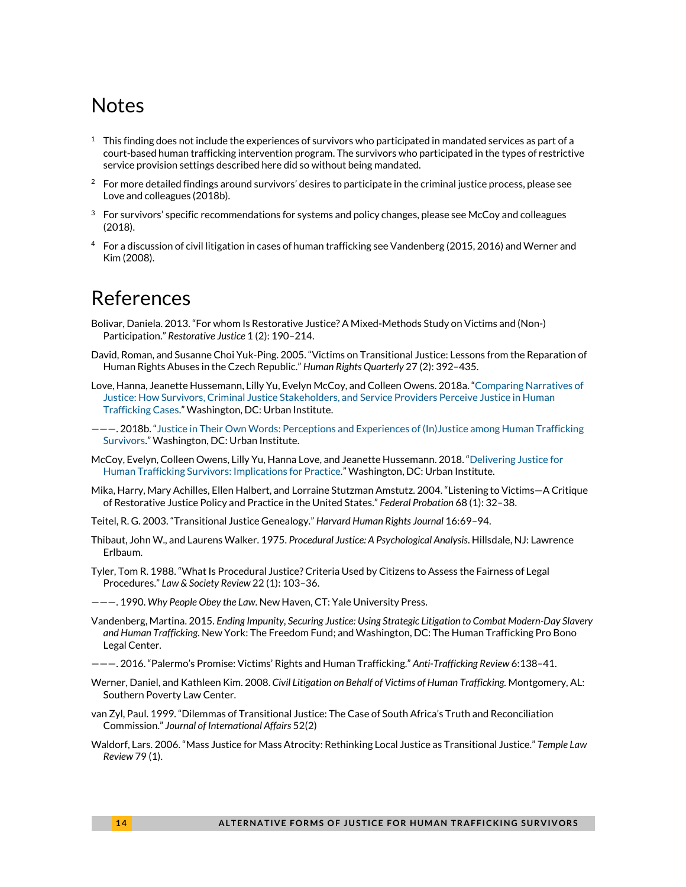# Notes

- <span id="page-13-0"></span> $1$  This finding does not include the experiences of survivors who participated in mandated services as part of a court-based human trafficking intervention program. The survivors who participated in the types of restrictive service provision settings described here did so without being mandated.
- <span id="page-13-1"></span> $2$  For more detailed findings around survivors' desires to participate in the criminal justice process, please see Love and colleagues (2018b).
- <span id="page-13-2"></span> $3$  For survivors' specific recommendations for systems and policy changes, please see McCoy and colleagues (2018).
- <span id="page-13-3"></span><sup>4</sup> For a discussion of civil litigation in cases of human trafficking see Vandenberg (2015, 2016) and Werner and Kim (2008).

## References

- Bolivar, Daniela. 2013. "For whom Is Restorative Justice? A Mixed-Methods Study on Victims and (Non-) Participation." *Restorative Justice* 1 (2): 190–214.
- David, Roman, and Susanne Choi Yuk-Ping. 2005. "Victims on Transitional Justice: Lessons from the Reparation of Human Rights Abuses in the Czech Republic." *Human Rights Quarterly* 27 (2): 392–435.
- Love, Hanna, Jeanette Hussemann, Lilly Yu, Evelyn McCoy, and Colleen Owens. 2018a. ["Comparing Narratives of](https://www.urban.org/research/publication/comparing-narratives-justice)  [Justice: How Survivors, Criminal Justice Stakeholders, and Service Providers Perceive Justice in Human](https://www.urban.org/research/publication/comparing-narratives-justice)  [Trafficking Cases."](https://www.urban.org/research/publication/comparing-narratives-justice) Washington, DC: Urban Institute.
- ———. 2018b. ["Justice in Their Own Words: Perceptions and Experiences of \(In\)Justice among Human Trafficking](https://www.urban.org/research/publication/justice-their-own-words)  [Survivors."](https://www.urban.org/research/publication/justice-their-own-words) Washington, DC: Urban Institute.
- McCoy, Evelyn, Colleen Owens, Lilly Yu, Hanna Love, and Jeanette Hussemann. 2018. ["Delivering Justice for](https://www.urban.org/research/publication/perceptions-justice-among-human-trafficking-survivors)  [Human Trafficking Survivors: Implications for Practice.](https://www.urban.org/research/publication/perceptions-justice-among-human-trafficking-survivors)" Washington, DC: Urban Institute.
- Mika, Harry, Mary Achilles, Ellen Halbert, and Lorraine Stutzman Amstutz. 2004. "Listening to Victims—A Critique of Restorative Justice Policy and Practice in the United States." *Federal Probation* 68 (1): 32–38.
- Teitel, R. G. 2003. "Transitional Justice Genealogy." *Harvard Human Rights Journal* 16:69–94.
- Thibaut, John W., and Laurens Walker. 1975. *Procedural Justice: A Psychological Analysis*. Hillsdale, NJ: Lawrence Erlbaum.
- Tyler, Tom R. 1988. "What Is Procedural Justice? Criteria Used by Citizens to Assess the Fairness of Legal Procedures." *Law & Society Review* 22 (1): 103–36.
- ———. 1990. *Why People Obey the Law*. New Haven, CT: Yale University Press.
- Vandenberg, Martina. 2015. *Ending Impunity, Securing Justice: Using Strategic Litigation to Combat Modern-Day Slavery and Human Trafficking*. New York: The Freedom Fund; and Washington, DC: The Human Trafficking Pro Bono Legal Center.
- ———. 2016. "Palermo's Promise: Victims' Rights and Human Trafficking." *Anti-Trafficking Review* 6:138–41.
- Werner, Daniel, and Kathleen Kim. 2008. *Civil Litigation on Behalf of Victims of Human Trafficking.* Montgomery, AL: Southern Poverty Law Center.
- van Zyl, Paul. 1999. "Dilemmas of Transitional Justice: The Case of South Africa's Truth and Reconciliation Commission." *Journal of International Affairs* 52(2)
- Waldorf, Lars. 2006. "Mass Justice for Mass Atrocity: Rethinking Local Justice as Transitional Justice." *Temple Law Review* 79 (1).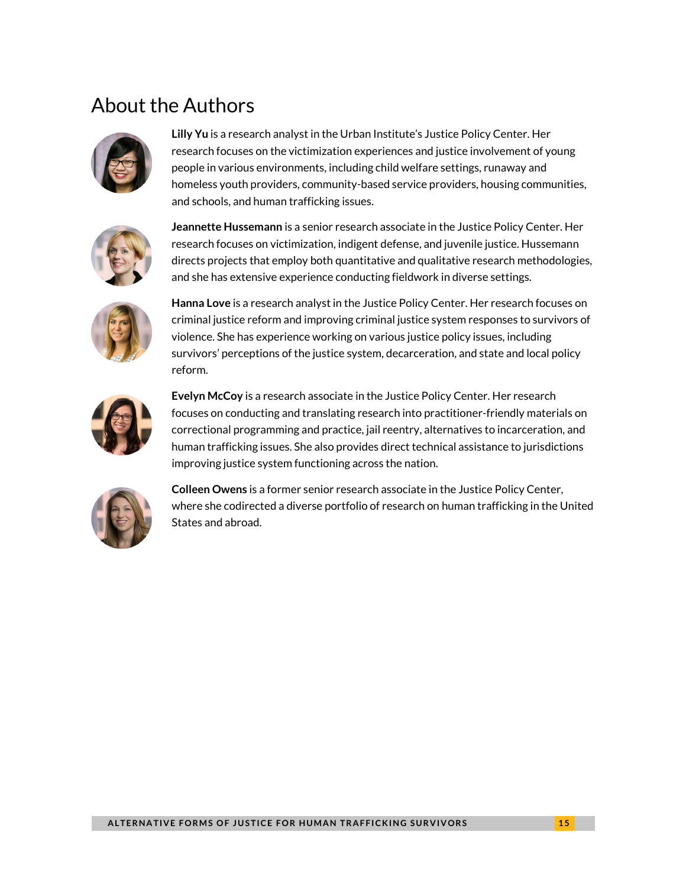# About the Authors



**Lilly Yu** is a research analyst in the Urban Institute's Justice Policy Center. Her research focuses on the victimization experiences and justice involvement of young people in various environments, including child welfare settings, runaway and homeless youth providers, community-based service providers, housing communities, and schools, and human trafficking issues.



**Jeannette Hussemann** is a senior research associate in the Justice Policy Center. Her research focuses on victimization, indigent defense, and juvenile justice. Hussemann directs projects that employ both quantitative and qualitative research methodologies, and she has extensive experience conducting fieldwork in diverse settings.



**Hanna Love** is a research analyst in the Justice Policy Center. Her research focuses on criminal justice reform and improving criminal justice system responses to survivors of violence. She has experience working on various justice policy issues, including survivors' perceptions of the justice system, decarceration, and state and local policy reform.



**Evelyn McCoy** is a research associate in the Justice Policy Center. Her research focuses on conducting and translating research into practitioner-friendly materials on correctional programming and practice, jail reentry, alternatives to incarceration, and human trafficking issues. She also provides direct technical assistance to jurisdictions improving justice system functioning across the nation.



**Colleen Owens** is a former senior research associate in the Justice Policy Center, where she codirected a diverse portfolio of research on human trafficking in the United States and abroad.